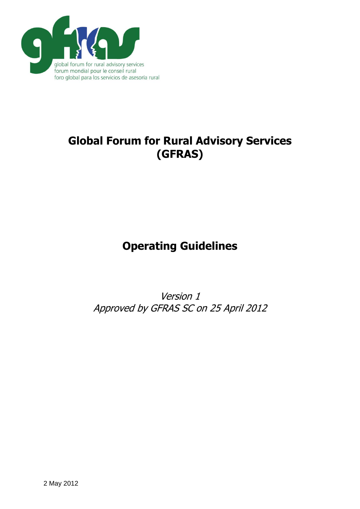

# **Global Forum for Rural Advisory Services (GFRAS)**

# **Operating Guidelines**

Version 1 Approved by GFRAS SC on 25 April 2012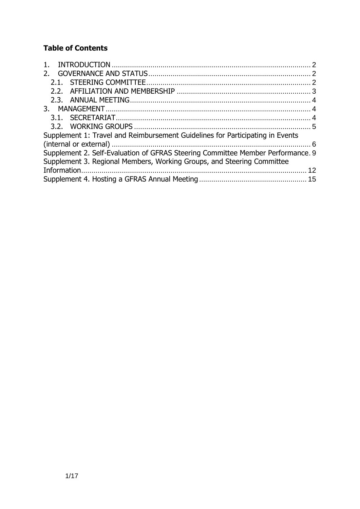## **Table of Contents**

| 1.                                                                              |  |  |  |  |  |
|---------------------------------------------------------------------------------|--|--|--|--|--|
|                                                                                 |  |  |  |  |  |
|                                                                                 |  |  |  |  |  |
|                                                                                 |  |  |  |  |  |
|                                                                                 |  |  |  |  |  |
|                                                                                 |  |  |  |  |  |
|                                                                                 |  |  |  |  |  |
|                                                                                 |  |  |  |  |  |
| Supplement 1: Travel and Reimbursement Guidelines for Participating in Events   |  |  |  |  |  |
|                                                                                 |  |  |  |  |  |
| Supplement 2. Self-Evaluation of GFRAS Steering Committee Member Performance. 9 |  |  |  |  |  |
| Supplement 3. Regional Members, Working Groups, and Steering Committee          |  |  |  |  |  |
|                                                                                 |  |  |  |  |  |
|                                                                                 |  |  |  |  |  |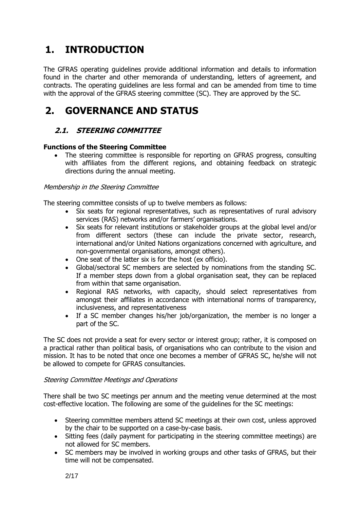## <span id="page-2-0"></span>**1. INTRODUCTION**

The GFRAS operating guidelines provide additional information and details to information found in the charter and other memoranda of understanding, letters of agreement, and contracts. The operating guidelines are less formal and can be amended from time to time with the approval of the GFRAS steering committee (SC). They are approved by the SC.

## <span id="page-2-1"></span>**2. GOVERNANCE AND STATUS**

### <span id="page-2-2"></span>**2.1. STEERING COMMITTEE**

#### **Functions of the Steering Committee**

 The steering committee is responsible for reporting on GFRAS progress, consulting with affiliates from the different regions, and obtaining feedback on strategic directions during the annual meeting.

#### Membership in the Steering Committee

The steering committee consists of up to twelve members as follows:

- Six seats for regional representatives, such as representatives of rural advisory services (RAS) networks and/or farmers' organisations.
- Six seats for relevant institutions or stakeholder groups at the global level and/or from different sectors (these can include the private sector, research, international and/or United Nations organizations concerned with agriculture, and non-governmental organisations, amongst others).
- One seat of the latter six is for the host (ex officio).
- Global/sectoral SC members are selected by nominations from the standing SC. If a member steps down from a global organisation seat, they can be replaced from within that same organisation.
- Regional RAS networks, with capacity, should select representatives from amongst their affiliates in accordance with international norms of transparency, inclusiveness, and representativeness
- If a SC member changes his/her job/organization, the member is no longer a part of the SC.

The SC does not provide a seat for every sector or interest group; rather, it is composed on a practical rather than political basis, of organisations who can contribute to the vision and mission. It has to be noted that once one becomes a member of GFRAS SC, he/she will not be allowed to compete for GFRAS consultancies.

#### Steering Committee Meetings and Operations

There shall be two SC meetings per annum and the meeting venue determined at the most cost-effective location. The following are some of the guidelines for the SC meetings:

- Steering committee members attend SC meetings at their own cost, unless approved by the chair to be supported on a case-by-case basis.
- Sitting fees (daily payment for participating in the steering committee meetings) are not allowed for SC members.
- SC members may be involved in working groups and other tasks of GFRAS, but their time will not be compensated.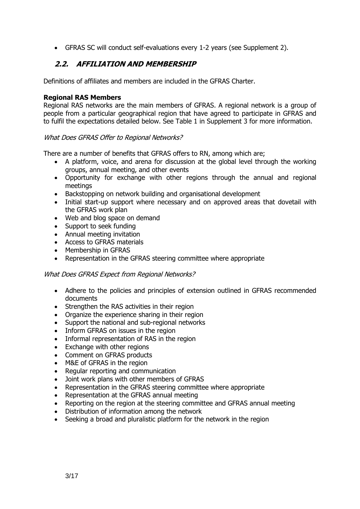GFRAS SC will conduct self-evaluations every 1-2 years (see Supplement 2).

### <span id="page-3-0"></span>**2.2. AFFILIATION AND MEMBERSHIP**

Definitions of affiliates and members are included in the GFRAS Charter.

#### **Regional RAS Members**

Regional RAS networks are the main members of GFRAS. A regional network is a group of people from a particular geographical region that have agreed to participate in GFRAS and to fulfil the expectations detailed below. See Table 1 in Supplement 3 for more information.

#### What Does GFRAS Offer to Regional Networks?

There are a number of benefits that GFRAS offers to RN, among which are;

- A platform, voice, and arena for discussion at the global level through the working groups, annual meeting, and other events
- Opportunity for exchange with other regions through the annual and regional meetings
- Backstopping on network building and organisational development
- Initial start-up support where necessary and on approved areas that dovetail with the GFRAS work plan
- Web and blog space on demand
- Support to seek funding
- Annual meeting invitation
- Access to GFRAS materials
- Membership in GFRAS
- Representation in the GFRAS steering committee where appropriate

#### What Does GFRAS Expect from Regional Networks?

- Adhere to the policies and principles of extension outlined in GFRAS recommended documents
- Strengthen the RAS activities in their region
- Organize the experience sharing in their region
- Support the national and sub-regional networks
- Inform GFRAS on issues in the region
- Informal representation of RAS in the region
- Exchange with other regions
- Comment on GFRAS products
- M&E of GFRAS in the region
- Regular reporting and communication
- Joint work plans with other members of GFRAS
- Representation in the GFRAS steering committee where appropriate
- Representation at the GFRAS annual meeting
- Reporting on the region at the steering committee and GFRAS annual meeting
- Distribution of information among the network
- Seeking a broad and pluralistic platform for the network in the region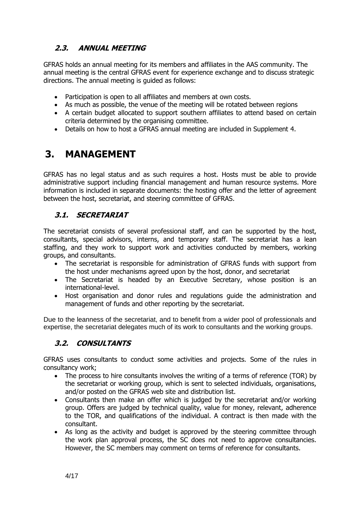## <span id="page-4-0"></span>**2.3. ANNUAL MEETING**

GFRAS holds an annual meeting for its members and affiliates in the AAS community. The annual meeting is the central GFRAS event for experience exchange and to discuss strategic directions. The annual meeting is guided as follows:

- Participation is open to all affiliates and members at own costs.
- As much as possible, the venue of the meeting will be rotated between regions
- A certain budget allocated to support southern affiliates to attend based on certain criteria determined by the organising committee.
- Details on how to host a GFRAS annual meeting are included in Supplement 4.

## <span id="page-4-1"></span>**3. MANAGEMENT**

GFRAS has no legal status and as such requires a host. Hosts must be able to provide administrative support including financial management and human resource systems. More information is included in separate documents: the hosting offer and the letter of agreement between the host, secretariat, and steering committee of GFRAS.

### <span id="page-4-2"></span>**3.1. SECRETARIAT**

The secretariat consists of several professional staff, and can be supported by the host, consultants, special advisors, interns, and temporary staff. The secretariat has a lean staffing, and they work to support work and activities conducted by members, working groups, and consultants.

- The secretariat is responsible for administration of GFRAS funds with support from the host under mechanisms agreed upon by the host, donor, and secretariat
- The Secretariat is headed by an Executive Secretary, whose position is an international-level.
- Host organisation and donor rules and regulations guide the administration and management of funds and other reporting by the secretariat.

Due to the leanness of the secretariat, and to benefit from a wider pool of professionals and expertise, the secretariat delegates much of its work to consultants and the working groups.

## **3.2. CONSULTANTS**

GFRAS uses consultants to conduct some activities and projects. Some of the rules in consultancy work;

- The process to hire consultants involves the writing of a terms of reference (TOR) by the secretariat or working group, which is sent to selected individuals, organisations, and/or posted on the GFRAS web site and distribution list.
- Consultants then make an offer which is judged by the secretariat and/or working group. Offers are judged by technical quality, value for money, relevant, adherence to the TOR, and qualifications of the individual. A contract is then made with the consultant.
- As long as the activity and budget is approved by the steering committee through the work plan approval process, the SC does not need to approve consultancies. However, the SC members may comment on terms of reference for consultants.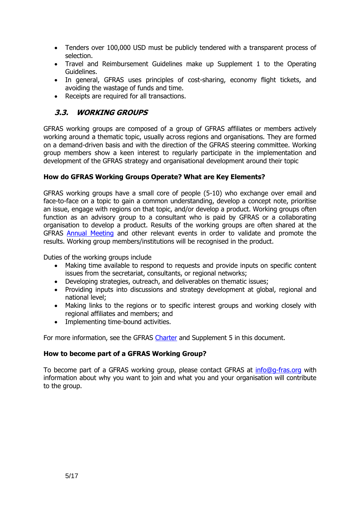- Tenders over 100,000 USD must be publicly tendered with a transparent process of selection.
- Travel and Reimbursement Guidelines make up Supplement 1 to the Operating Guidelines.
- In general, GFRAS uses principles of cost-sharing, economy flight tickets, and avoiding the wastage of funds and time.
- Receipts are required for all transactions.

### <span id="page-5-0"></span>**3.3. WORKING GROUPS**

GFRAS working groups are composed of a group of GFRAS affiliates or members actively working around a thematic topic, usually across regions and organisations. They are formed on a demand-driven basis and with the direction of the GFRAS steering committee. Working group members show a keen interest to regularly participate in the implementation and development of the GFRAS strategy and organisational development around their topic

#### **How do GFRAS Working Groups Operate? What are Key Elements?**

GFRAS working groups have a small core of people (5-10) who exchange over email and face-to-face on a topic to gain a common understanding, develop a concept note, prioritise an issue, engage with regions on that topic, and/or develop a product. Working groups often function as an advisory group to a consultant who is paid by GFRAS or a collaborating organisation to develop a product. Results of the working groups are often shared at the GFRAS [Annual Meeting](http://www.g-fras.org/en/events/gfras-events) and other relevant events in order to validate and promote the results. Working group members/institutions will be recognised in the product.

Duties of the working groups include

- Making time available to respond to requests and provide inputs on specific content issues from the secretariat, consultants, or regional networks;
- Developing strategies, outreach, and deliverables on thematic issues;
- Providing inputs into discussions and strategy development at global, regional and national level;
- Making links to the regions or to specific interest groups and working closely with regional affiliates and members; and
- Implementing time-bound activities.

For more information, see the GFRAS [Charter](http://www.g-fras.org/en/knowledge/gfras-publications/file/68-gfras-charter) and Supplement 5 in this document.

#### **How to become part of a GFRAS Working Group?**

To become part of a GFRAS working group, please contact GFRAS at [info@g-fras.org](mailto:info@g-fras.org) with information about why you want to join and what you and your organisation will contribute to the group.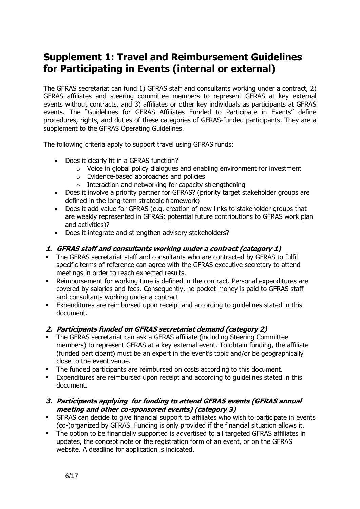## <span id="page-6-0"></span>**Supplement 1: Travel and Reimbursement Guidelines for Participating in Events (internal or external)**

The GFRAS secretariat can fund 1) GFRAS staff and consultants working under a contract, 2) GFRAS affiliates and steering committee members to represent GFRAS at key external events without contracts, and 3) affiliates or other key individuals as participants at GFRAS events. The "Guidelines for GFRAS Affiliates Funded to Participate in Events" define procedures, rights, and duties of these categories of GFRAS-funded participants. They are a supplement to the GFRAS Operating Guidelines.

The following criteria apply to support travel using GFRAS funds:

- Does it clearly fit in a GFRAS function?
	- o Voice in global policy dialogues and enabling environment for investment
	- o Evidence-based approaches and policies
	- $\circ$  Interaction and networking for capacity strengthening
- Does it involve a priority partner for GFRAS? (priority target stakeholder groups are defined in the long-term strategic framework)
- Does it add value for GFRAS (e.g. creation of new links to stakeholder groups that are weakly represented in GFRAS; potential future contributions to GFRAS work plan and activities)?
- Does it integrate and strengthen advisory stakeholders?

#### **1. GFRAS staff and consultants working under a contract (category 1)**

- The GFRAS secretariat staff and consultants who are contracted by GFRAS to fulfil specific terms of reference can agree with the GFRAS executive secretary to attend meetings in order to reach expected results.
- Reimbursement for working time is defined in the contract. Personal expenditures are covered by salaries and fees. Consequently, no pocket money is paid to GFRAS staff and consultants working under a contract
- Expenditures are reimbursed upon receipt and according to guidelines stated in this document.

#### **2. Participants funded on GFRAS secretariat demand (category 2)**

- The GFRAS secretariat can ask a GFRAS affiliate (including Steering Committee members) to represent GFRAS at a key external event. To obtain funding, the affiliate (funded participant) must be an expert in the event's topic and/or be geographically close to the event venue.
- The funded participants are reimbursed on costs according to this document.
- Expenditures are reimbursed upon receipt and according to guidelines stated in this document.

#### **3. Participants applying for funding to attend GFRAS events (GFRAS annual meeting and other co-sponsored events) (category 3)**

- GFRAS can decide to give financial support to affiliates who wish to participate in events (co-)organized by GFRAS. Funding is only provided if the financial situation allows it.
- The option to be financially supported is advertised to all targeted GFRAS affiliates in updates, the concept note or the registration form of an event, or on the GFRAS website. A deadline for application is indicated.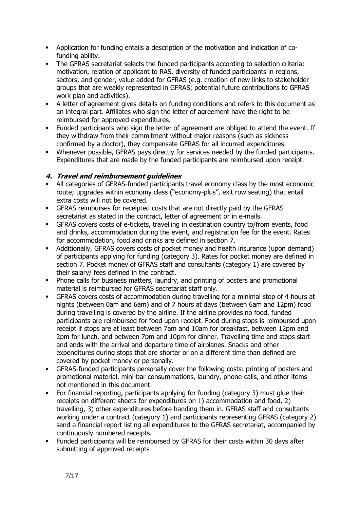- Application for funding entails a description of the motivation and indication of cofunding ability.
- The GFRAS secretariat selects the funded participants according to selection criteria: motivation, relation of applicant to RAS, diversity of funded participants in regions, sectors, and gender, value added for GFRAS (e.g. creation of new links to stakeholder groups that are weakly represented in GFRAS; potential future contributions to GFRAS work plan and activities).
- A letter of agreement gives details on funding conditions and refers to this document as an integral part. Affiliates who sign the letter of agreement have the right to be reimbursed for approved expenditures.
- Funded participants who sign the letter of agreement are obliged to attend the event. If they withdraw from their commitment without major reasons (such as sickness confirmed by a doctor), they compensate GFRAS for all incurred expenditures.
- Whenever possible, GFRAS pays directly for services needed by the funded participants. Expenditures that are made by the funded participants are reimbursed upon receipt.

#### **4. Travel and reimbursement guidelines**

- All categories of GFRAS-funded participants travel economy class by the most economic route; upgrades within economy class ("economy-plus", exit row seating) that entail extra costs will not be covered.
- GFRAS reimburses for receipted costs that are not directly paid by the GFRAS secretariat as stated in the contract, letter of agreement or in e-mails.
- GFRAS covers costs of e-tickets, travelling in destination country to/from events, food and drinks, accommodation during the event, and registration fee for the event. Rates for accommodation, food and drinks are defined in section 7.
- Additionally, GFRAS covers costs of pocket money and health insurance (upon demand) of participants applying for funding (category 3). Rates for pocket money are defined in section 7. Pocket money of GFRAS staff and consultants (category 1) are covered by their salary/ fees defined in the contract.
- **•** Phone calls for business matters, laundry, and printing of posters and promotional material is reimbursed for GFRAS secretariat staff only.
- GFRAS covers costs of accommodation during travelling for a minimal stop of 4 hours at nights (between 0am and 6am) and of 7 hours at days (between 6am and 12pm) food during travelling is covered by the airline. If the airline provides no food, funded participants are reimbursed for food upon receipt. Food during stops is reimbursed upon receipt if stops are at least between 7am and 10am for breakfast, between 12pm and 2pm for lunch, and between 7pm and 10pm for dinner. Travelling time and stops start and ends with the arrival and departure time of airplanes. Snacks and other expenditures during stops that are shorter or on a different time than defined are covered by pocket money or personally.
- GFRAS-funded participants personally cover the following costs: printing of posters and promotional material, mini-bar consummations, laundry, phone-calls, and other items not mentioned in this document.
- For financial reporting, participants applying for funding (category 3) must glue their receipts on different sheets for expenditures on 1) accommodation and food, 2) travelling, 3) other expenditures before handing them in. GFRAS staff and consultants working under a contract (category 1) and participants representing GFRAS (category 2) send a financial report listing all expenditures to the GFRAS secretariat, accompanied by continuously numbered receipts.
- Funded participants will be reimbursed by GFRAS for their costs within 30 days after submitting of approved receipts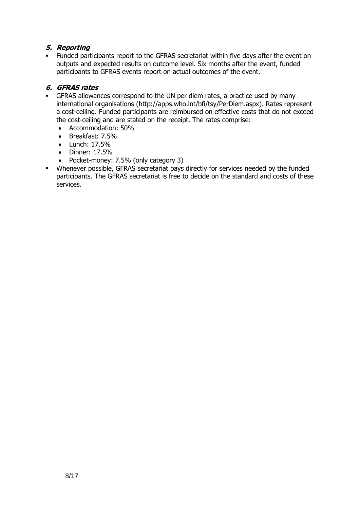### **5. Reporting**

 Funded participants report to the GFRAS secretariat within five days after the event on outputs and expected results on outcome level. Six months after the event, funded participants to GFRAS events report on actual outcomes of the event.

#### **6. GFRAS rates**

- GFRAS allowances correspond to the UN per diem rates, a practice used by many international organisations [\(http://apps.who.int/bfi/tsy/PerDiem.aspx\)](http://apps.who.int/bfi/tsy/PerDiem.aspx). Rates represent a cost-ceiling. Funded participants are reimbursed on effective costs that do not exceed the cost-ceiling and are stated on the receipt. The rates comprise:
	- Accommodation: 50%
	- Breakfast: 7.5%
	- Lunch: 17.5%
	- Dinner: 17.5%
	- Pocket-money: 7.5% (only category 3)
- Whenever possible, GFRAS secretariat pays directly for services needed by the funded participants. The GFRAS secretariat is free to decide on the standard and costs of these services.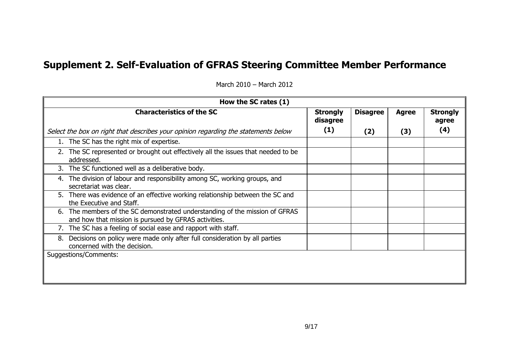# **Supplement 2. Self-Evaluation of GFRAS Steering Committee Member Performance**

<span id="page-9-0"></span>

| How the SC rates (1)                                                                                                                |                             |                 |              |                          |
|-------------------------------------------------------------------------------------------------------------------------------------|-----------------------------|-----------------|--------------|--------------------------|
| <b>Characteristics of the SC</b>                                                                                                    | <b>Strongly</b><br>disagree | <b>Disagree</b> | <b>Agree</b> | <b>Strongly</b><br>agree |
| Select the box on right that describes your opinion regarding the statements below                                                  | (1)                         | (2)             | (3)          | (4)                      |
| 1. The SC has the right mix of expertise.                                                                                           |                             |                 |              |                          |
| 2. The SC represented or brought out effectively all the issues that needed to be<br>addressed.                                     |                             |                 |              |                          |
| 3. The SC functioned well as a deliberative body.                                                                                   |                             |                 |              |                          |
| 4. The division of labour and responsibility among SC, working groups, and<br>secretariat was clear.                                |                             |                 |              |                          |
| 5. There was evidence of an effective working relationship between the SC and<br>the Executive and Staff.                           |                             |                 |              |                          |
| 6. The members of the SC demonstrated understanding of the mission of GFRAS<br>and how that mission is pursued by GFRAS activities. |                             |                 |              |                          |
| 7. The SC has a feeling of social ease and rapport with staff.                                                                      |                             |                 |              |                          |
| Decisions on policy were made only after full consideration by all parties<br>8.<br>concerned with the decision.                    |                             |                 |              |                          |
| Suggestions/Comments:                                                                                                               |                             |                 |              |                          |
|                                                                                                                                     |                             |                 |              |                          |
|                                                                                                                                     |                             |                 |              |                          |

March 2010 – March 2012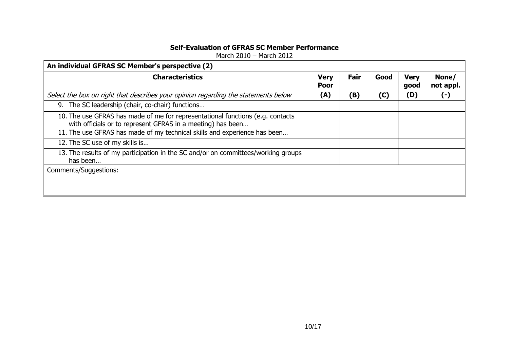### **Self-Evaluation of GFRAS SC Member Performance**

March 2010 – March 2012

| An individual GFRAS SC Member's perspective (2)                                                                                               |                            |      |      |                     |                    |
|-----------------------------------------------------------------------------------------------------------------------------------------------|----------------------------|------|------|---------------------|--------------------|
| <b>Characteristics</b>                                                                                                                        | <b>Very</b><br><b>Poor</b> | Fair | Good | <b>Very</b><br>good | None/<br>not appl. |
| Select the box on right that describes your opinion regarding the statements below                                                            | (A)                        | (B)  | (C)  | (D)                 | O                  |
| 9. The SC leadership (chair, co-chair) functions                                                                                              |                            |      |      |                     |                    |
| 10. The use GFRAS has made of me for representational functions (e.g. contacts<br>with officials or to represent GFRAS in a meeting) has been |                            |      |      |                     |                    |
| 11. The use GFRAS has made of my technical skills and experience has been                                                                     |                            |      |      |                     |                    |
| 12. The SC use of my skills is                                                                                                                |                            |      |      |                     |                    |
| 13. The results of my participation in the SC and/or on committees/working groups<br>has been                                                 |                            |      |      |                     |                    |
| Comments/Suggestions:                                                                                                                         |                            |      |      |                     |                    |
|                                                                                                                                               |                            |      |      |                     |                    |
|                                                                                                                                               |                            |      |      |                     |                    |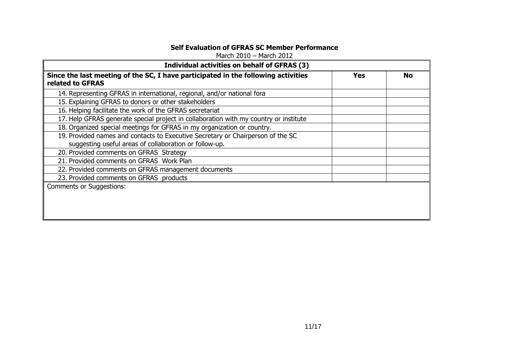### **Self Evaluation of GFRAS SC Member Performance**

March 2010 – March 2012

| Individual activities on behalf of GFRAS (3) |  |  |  |
|----------------------------------------------|--|--|--|
| <b>Yes</b><br>No                             |  |  |  |
|                                              |  |  |  |
|                                              |  |  |  |
|                                              |  |  |  |
|                                              |  |  |  |
|                                              |  |  |  |
|                                              |  |  |  |
|                                              |  |  |  |
|                                              |  |  |  |
|                                              |  |  |  |
|                                              |  |  |  |
|                                              |  |  |  |
|                                              |  |  |  |
|                                              |  |  |  |
|                                              |  |  |  |
|                                              |  |  |  |
|                                              |  |  |  |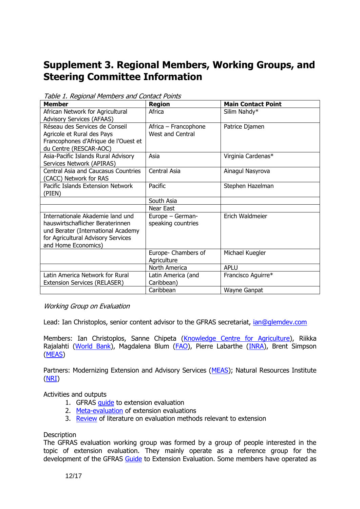## <span id="page-12-0"></span>**Supplement 3. Regional Members, Working Groups, and Steering Committee Information**

| Member                                                                                                                                                                  | <b>Region</b>                                   | <b>Main Contact Point</b> |
|-------------------------------------------------------------------------------------------------------------------------------------------------------------------------|-------------------------------------------------|---------------------------|
| African Network for Agricultural<br><b>Advisory Services (AFAAS)</b>                                                                                                    | Africa                                          | Silim Nahdy*              |
| Réseau des Services de Conseil<br>Agricole et Rural des Pays<br>Francophones d'Afrique de l'Ouest et<br>du Centre (RESCAR-AOC)                                          | Africa – Francophone<br><b>West and Central</b> | Patrice Djamen            |
| Asia-Pacific Islands Rural Advisory<br>Services Network (APIRAS)                                                                                                        | Asia                                            | Virginia Cardenas*        |
| <b>Central Asia and Caucasus Countries</b><br>(CACC) Network for RAS                                                                                                    | Central Asia                                    | Ainagul Nasyrova          |
| Pacific Islands Extension Network<br>(PIEN)                                                                                                                             | Pacific                                         | Stephen Hazelman          |
|                                                                                                                                                                         | South Asia                                      |                           |
|                                                                                                                                                                         | Near East                                       |                           |
| Internationale Akademie land und<br>hauswirtschaflicher Beraterinnen<br>und Berater (International Academy<br>for Agricultural Advisory Services<br>and Home Economics) | Europe - German-<br>speaking countries          | Erich Waldmeier           |
|                                                                                                                                                                         | Europe- Chambers of<br>Agriculture              | Michael Kuegler           |
|                                                                                                                                                                         | North America                                   | <b>APLU</b>               |
| Latin America Network for Rural<br><b>Extension Services (RELASER)</b>                                                                                                  | Latin America (and<br>Caribbean)                | Francisco Aguirre*        |
|                                                                                                                                                                         | Caribbean                                       | Wayne Ganpat              |

Table 1. Regional Members and Contact Points

#### Working Group on Evaluation

Lead: Ian Christoplos, senior content advisor to the GFRAS secretariat,  $ian@q$ lemdev.com

Members: Ian Christoplos, Sanne Chipeta [\(Knowledge Centre for Agriculture\)](http://www.vfl.dk/English/English.htm), Riikka Rajalahti [\(World Bank\)](http://www.worldbank.org/), Magdalena Blum [\(FAO\)](http://www.fao.org/), Pierre Labarthe [\(INRA\)](http://www.inra.fr/), Brent Simpson [\(MEAS\)](http://www.meas-extension.org/)

Partners: Modernizing Extension and Advisory Services [\(MEAS\)](http://www.meas-extension.org/); Natural Resources Institute [\(NRI\)](http://www.nri.org/)

#### Activities and outputs

- 1. GFRAS [guide](http://www.g-fras.org/en/knowledge/gfras-publications/file/20-guide-to-extension-evaluation) to extension evaluation
- 2. [Meta-evaluation](http://www.g-fras.org/en/knowledge/gfras-publications/file/62-meta-evaluation-of-extension-evaluation) of extension evaluations
- 3. [Review](http://www.g-fras.org/en/knowledge/gfras-publications/file/63-review-of-literature-on-evaluation-methods-relevant-to-extension) of literature on evaluation methods relevant to extension

#### **Description**

The GFRAS evaluation working group was formed by a group of people interested in the topic of extension evaluation. They mainly operate as a reference group for the development of the GFRAS [Guide](http://www.g-fras.org/en/knowledge/gfras-publications/file/20-guide-to-extension-evaluation) to Extension Evaluation. Some members have operated as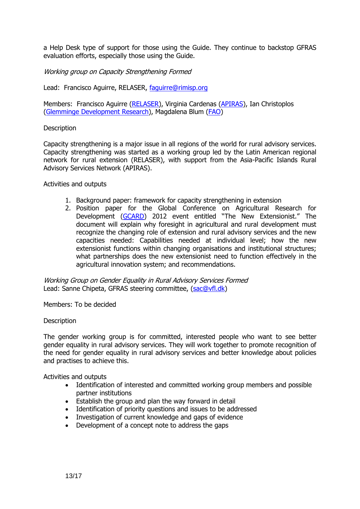a Help Desk type of support for those using the Guide. They continue to backstop GFRAS evaluation efforts, especially those using the Guide.

Working group on Capacity Strengthening Formed

Lead: Francisco Aguirre, RELASER, [faguirre@rimisp.org](mailto:faguirre@rimisp.org)

Members: Francisco Aguirre [\(RELASER\)](http://www.relaser.org/), Virginia Cardenas [\(APIRAS\)](http://www.apirasnetwork.org/), Ian Christoplos [\(Glemminge Development Research\)](http://www.glemdev.com/), Magdalena Blum [\(FAO\)](http://www.fao.org/)

#### **Description**

Capacity strengthening is a major issue in all regions of the world for rural advisory services. Capacity strengthening was started as a working group led by the Latin American regional network for rural extension (RELASER), with support from the Asia-Pacific Islands Rural Advisory Services Network (APIRAS).

#### Activities and outputs

- 1. Background paper: framework for capacity strengthening in extension
- 2. Position paper for the Global Conference on Agricultural Research for Development [\(GCARD](http://www.egfar.org/gcard-2012)) 2012 event entitled "The New Extensionist." The document will explain why foresight in agricultural and rural development must recognize the changing role of extension and rural advisory services and the new capacities needed: Capabilities needed at individual level; how the new extensionist functions within changing organisations and institutional structures; what partnerships does the new extensionist need to function effectively in the agricultural innovation system; and recommendations.

Working Group on Gender Equality in Rural Advisory Services Formed Lead: Sanne Chipeta, GFRAS steering committee, [\(sac@vfl.dk\)](mailto:sac@vfl.dk)

Members: To be decided

#### **Description**

The gender working group is for committed, interested people who want to see better gender equality in rural advisory services. They will work together to promote recognition of the need for gender equality in rural advisory services and better knowledge about policies and practises to achieve this.

Activities and outputs

- Identification of interested and committed working group members and possible partner institutions
- Establish the group and plan the way forward in detail
- Identification of priority questions and issues to be addressed
- Investigation of current knowledge and gaps of evidence
- Development of a concept note to address the gaps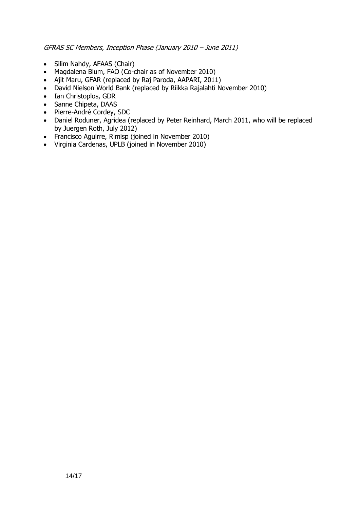GFRAS SC Members, Inception Phase (January 2010 – June 2011)

- Silim Nahdy, AFAAS (Chair)
- Magdalena Blum, FAO (Co-chair as of November 2010)
- Ajit Maru, GFAR (replaced by Raj Paroda, AAPARI, 2011)
- David Nielson World Bank (replaced by Riikka Rajalahti November 2010)
- Ian Christoplos, GDR
- Sanne Chipeta, DAAS
- Pierre-André Cordey, SDC
- Daniel Roduner, Agridea (replaced by Peter Reinhard, March 2011, who will be replaced by Juergen Roth, July 2012)
- Francisco Aguirre, Rimisp (joined in November 2010)
- Virginia Cardenas, UPLB (joined in November 2010)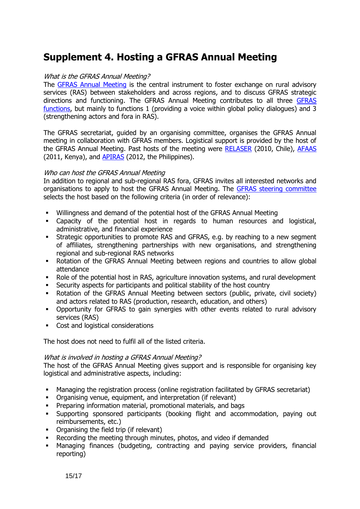## <span id="page-15-0"></span>**Supplement 4. Hosting a GFRAS Annual Meeting**

#### What is the GFRAS Annual Meeting?

The [GFRAS Annual Meeting](http://www.g-fras.org/en/events/gfras-events) is the central instrument to foster exchange on rural advisory services (RAS) between stakeholders and across regions, and to discuss GFRAS strategic directions and functioning. The GFRAS Annual Meeting contributes to all three [GFRAS](http://www.g-fras.org/en/about-us/about-us)  [functions,](http://www.g-fras.org/en/about-us/about-us) but mainly to functions 1 (providing a voice within global policy dialogues) and 3 (strengthening actors and fora in RAS).

The GFRAS secretariat, guided by an organising committee, organises the GFRAS Annual meeting in collaboration with GFRAS members. Logistical support is provided by the host of the GFRAS Annual Meeting. Past hosts of the meeting were [RELASER](http://www.relaser.org/) (2010, Chile), [AFAAS](http://www.afaas-africa.org/) (2011, Kenya), and [APIRAS](http://www.aprirasnetwork.org/) (2012, the Philippines).

#### Who can host the GFRAS Annual Meeting

In addition to regional and sub-regional RAS fora, GFRAS invites all interested networks and organisations to apply to host the GFRAS Annual Meeting. The [GFRAS steering committee](http://www.g-fras.org/en/about-us/about-us/governance) selects the host based on the following criteria (in order of relevance):

- Willingness and demand of the potential host of the GFRAS Annual Meeting
- Capacity of the potential host in regards to human resources and logistical, administrative, and financial experience
- Strategic opportunities to promote RAS and GFRAS, e.g. by reaching to a new segment of affiliates, strengthening partnerships with new organisations, and strengthening regional and sub-regional RAS networks
- Rotation of the GFRAS Annual Meeting between regions and countries to allow global attendance
- Role of the potential host in RAS, agriculture innovation systems, and rural development
- Security aspects for participants and political stability of the host country
- Rotation of the GFRAS Annual Meeting between sectors (public, private, civil society) and actors related to RAS (production, research, education, and others)
- Opportunity for GFRAS to gain synergies with other events related to rural advisory services (RAS)
- Cost and logistical considerations

The host does not need to fulfil all of the listed criteria.

#### What is involved in hosting a GFRAS Annual Meeting?

The host of the GFRAS Annual Meeting gives support and is responsible for organising key logistical and administrative aspects, including:

- Managing the registration process (online registration facilitated by GFRAS secretariat)
- Organising venue, equipment, and interpretation (if relevant)
- Preparing information material, promotional materials, and bags
- Supporting sponsored participants (booking flight and accommodation, paying out reimbursements, etc.)
- Organising the field trip (if relevant)
- Recording the meeting through minutes, photos, and video if demanded
- Managing finances (budgeting, contracting and paying service providers, financial reporting)